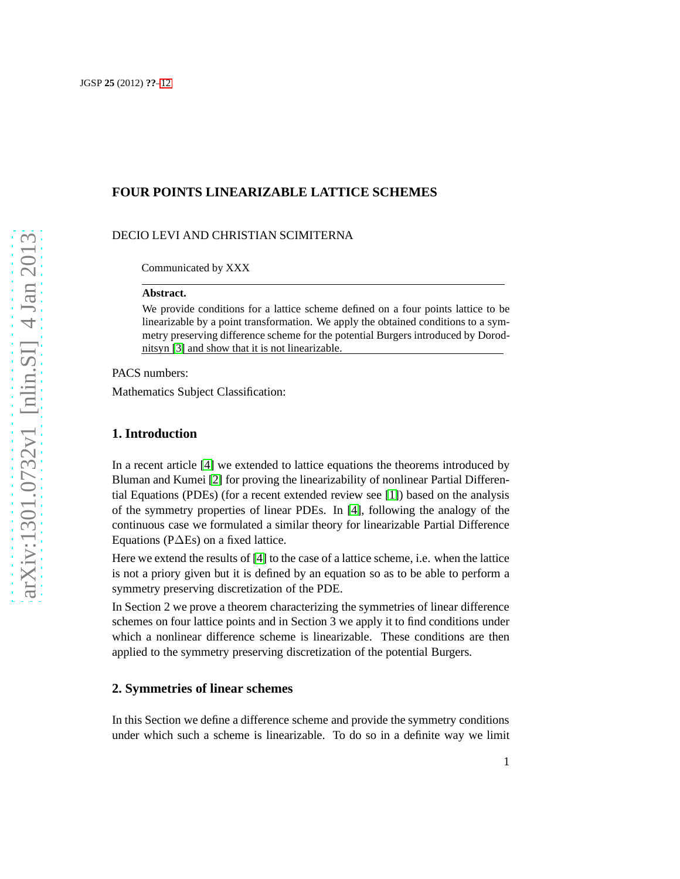# **FOUR POINTS LINEARIZABLE LATTICE SCHEMES**

### DECIO LEVI AND CHRISTIAN SCIMITERNA

Communicated by XXX

#### **Abstract.**

We provide conditions for a lattice scheme defined on a four points lattice to be linearizable by a point transformation. We apply the obtained conditions to a symmetry preserving difference scheme for the potential Burgers introduced by Dorodnitsyn [\[3\]](#page-11-0) and show that it is not linearizable.

PACS numbers:

Mathematics Subject Classification:

## **1. Introduction**

In a recent article [\[4\]](#page-11-1) we extended to lattice equations the theorems introduced by Bluman and Kumei [\[2\]](#page-11-2) for proving the linearizability of nonlinear Partial Differential Equations (PDEs) (for a recent extended review see [\[1\]](#page-10-1)) based on the analysis of the symmetry properties of linear PDEs. In [\[4\]](#page-11-1), following the analogy of the continuous case we formulated a similar theory for linearizable Partial Difference Equations (P∆Es) on a fixed lattice.

Here we extend the results of [\[4\]](#page-11-1) to the case of a lattice scheme, i.e. when the lattice is not a priory given but it is defined by an equation so as to be able to perform a symmetry preserving discretization of the PDE.

In Section 2 we prove a theorem characterizing the symmetries of linear difference schemes on four lattice points and in Section 3 we apply it to find conditions under which a nonlinear difference scheme is linearizable. These conditions are then applied to the symmetry preserving discretization of the potential Burgers.

## **2. Symmetries of linear schemes**

In this Section we define a difference scheme and provide the symmetry conditions under which such a scheme is linearizable. To do so in a definite way we limit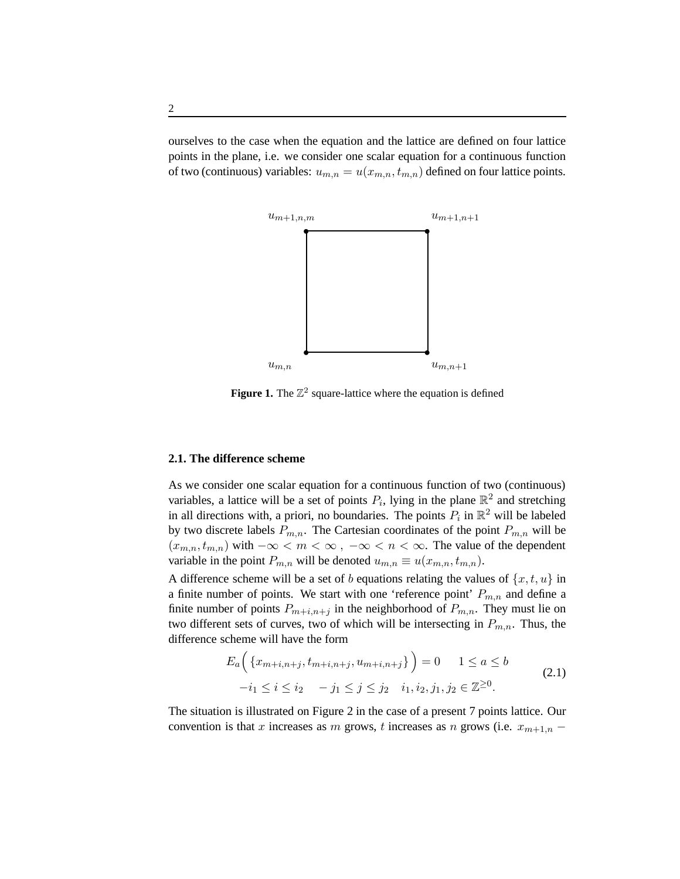ourselves to the case when the equation and the lattice are defined on four lattice points in the plane, i.e. we consider one scalar equation for a continuous function of two (continuous) variables:  $u_{m,n} = u(x_{m,n}, t_{m,n})$  defined on four lattice points.



**Figure 1.** The  $\mathbb{Z}^2$  square-lattice where the equation is defined

#### **2.1. The difference scheme**

As we consider one scalar equation for a continuous function of two (continuous) variables, a lattice will be a set of points  $P_i$ , lying in the plane  $\mathbb{R}^2$  and stretching in all directions with, a priori, no boundaries. The points  $P_i$  in  $\mathbb{R}^2$  will be labeled by two discrete labels  $P_{m,n}$ . The Cartesian coordinates of the point  $P_{m,n}$  will be  $(x_{m,n}, t_{m,n})$  with  $-\infty < m < \infty$ ,  $-\infty < n < \infty$ . The value of the dependent variable in the point  $P_{m,n}$  will be denoted  $u_{m,n} \equiv u(x_{m,n}, t_{m,n})$ .

A difference scheme will be a set of b equations relating the values of  $\{x, t, u\}$  in a finite number of points. We start with one 'reference point'  $P_{m,n}$  and define a finite number of points  $P_{m+i,n+j}$  in the neighborhood of  $P_{m,n}$ . They must lie on two different sets of curves, two of which will be intersecting in  $P_{m,n}$ . Thus, the difference scheme will have the form

$$
E_a\Big(\{x_{m+i,n+j}, t_{m+i,n+j}, u_{m+i,n+j}\}\Big) = 0 \quad 1 \le a \le b
$$
  

$$
-i_1 \le i \le i_2 \quad -j_1 \le j \le j_2 \quad i_1, i_2, j_1, j_2 \in \mathbb{Z}^{\ge 0}.
$$
 (2.1)

The situation is illustrated on Figure 2 in the case of a present 7 points lattice. Our convention is that x increases as m grows, t increases as n grows (i.e.  $x_{m+1,n}$  –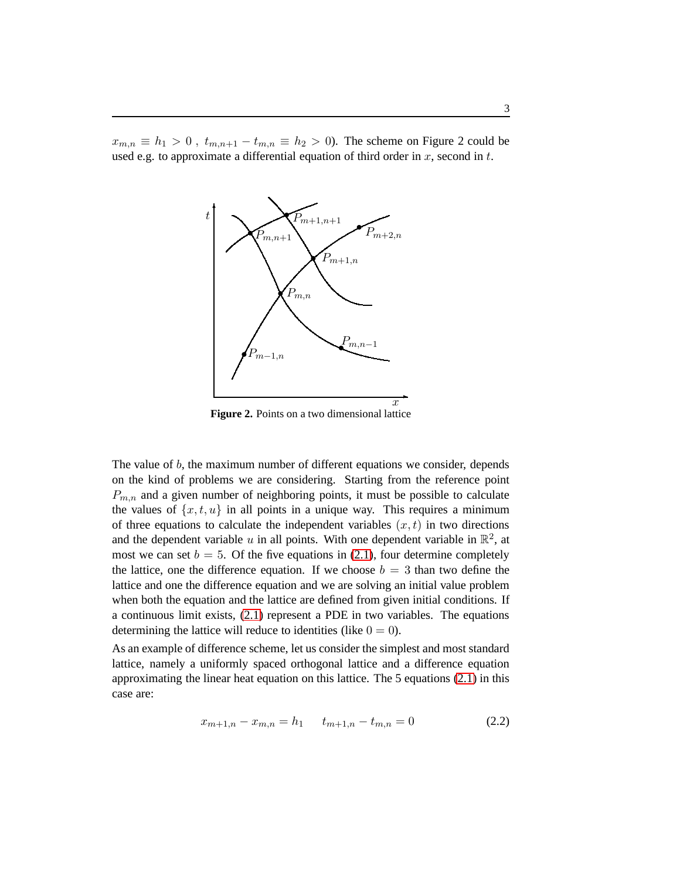$x_{m,n} \equiv h_1 > 0$ ,  $t_{m,n+1} - t_{m,n} \equiv h_2 > 0$ ). The scheme on Figure 2 could be used e.g. to approximate a differential equation of third order in  $x$ , second in  $t$ .



**Figure 2.** Points on a two dimensional lattice

The value of  $b$ , the maximum number of different equations we consider, depends on the kind of problems we are considering. Starting from the reference point  $P_{m,n}$  and a given number of neighboring points, it must be possible to calculate the values of  $\{x, t, u\}$  in all points in a unique way. This requires a minimum of three equations to calculate the independent variables  $(x, t)$  in two directions and the dependent variable u in all points. With one dependent variable in  $\mathbb{R}^2$ , at most we can set  $b = 5$ . Of the five equations in [\(2.1\)](#page-2-0), four determine completely the lattice, one the difference equation. If we choose  $b = 3$  than two define the lattice and one the difference equation and we are solving an initial value problem when both the equation and the lattice are defined from given initial conditions. If a continuous limit exists, [\(2.1\)](#page-2-0) represent a PDE in two variables. The equations determining the lattice will reduce to identities (like  $0 = 0$ ).

As an example of difference scheme, let us consider the simplest and most standard lattice, namely a uniformly spaced orthogonal lattice and a difference equation approximating the linear heat equation on this lattice. The 5 equations [\(2.1\)](#page-2-0) in this case are:

<span id="page-2-0"></span>
$$
x_{m+1,n} - x_{m,n} = h_1 \t t_{m+1,n} - t_{m,n} = 0 \t (2.2)
$$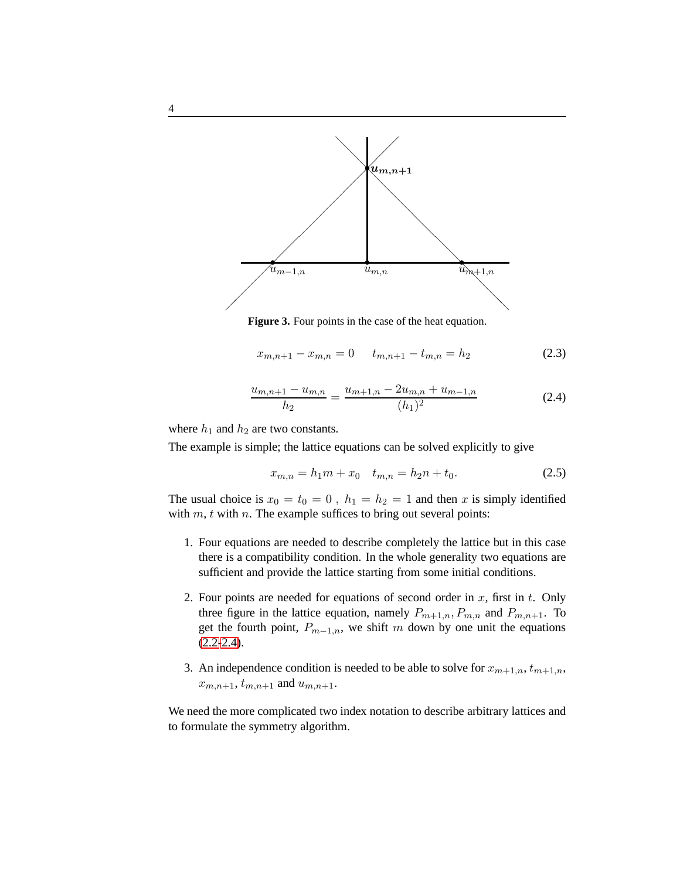

**Figure 3.** Four points in the case of the heat equation.

<span id="page-3-0"></span>
$$
x_{m,n+1} - x_{m,n} = 0 \t t_{m,n+1} - t_{m,n} = h_2 \t (2.3)
$$

$$
\frac{u_{m,n+1} - u_{m,n}}{h_2} = \frac{u_{m+1,n} - 2u_{m,n} + u_{m-1,n}}{(h_1)^2}
$$
(2.4)

where  $h_1$  and  $h_2$  are two constants.

The example is simple; the lattice equations can be solved explicitly to give

<span id="page-3-1"></span>
$$
x_{m,n} = h_1 m + x_0 \t t_{m,n} = h_2 n + t_0. \t (2.5)
$$

The usual choice is  $x_0 = t_0 = 0$ ,  $h_1 = h_2 = 1$  and then x is simply identified with  $m$ ,  $t$  with  $n$ . The example suffices to bring out several points:

- 1. Four equations are needed to describe completely the lattice but in this case there is a compatibility condition. In the whole generality two equations are sufficient and provide the lattice starting from some initial conditions.
- 2. Four points are needed for equations of second order in  $x$ , first in  $t$ . Only three figure in the lattice equation, namely  $P_{m+1,n}, P_{m,n}$  and  $P_{m,n+1}$ . To get the fourth point,  $P_{m-1,n}$ , we shift m down by one unit the equations  $(2.2 - 2.4)$  $(2.2 - 2.4)$ .
- 3. An independence condition is needed to be able to solve for  $x_{m+1,n}$ ,  $t_{m+1,n}$ ,  $x_{m,n+1}$ ,  $t_{m,n+1}$  and  $u_{m,n+1}$ .

We need the more complicated two index notation to describe arbitrary lattices and to formulate the symmetry algorithm.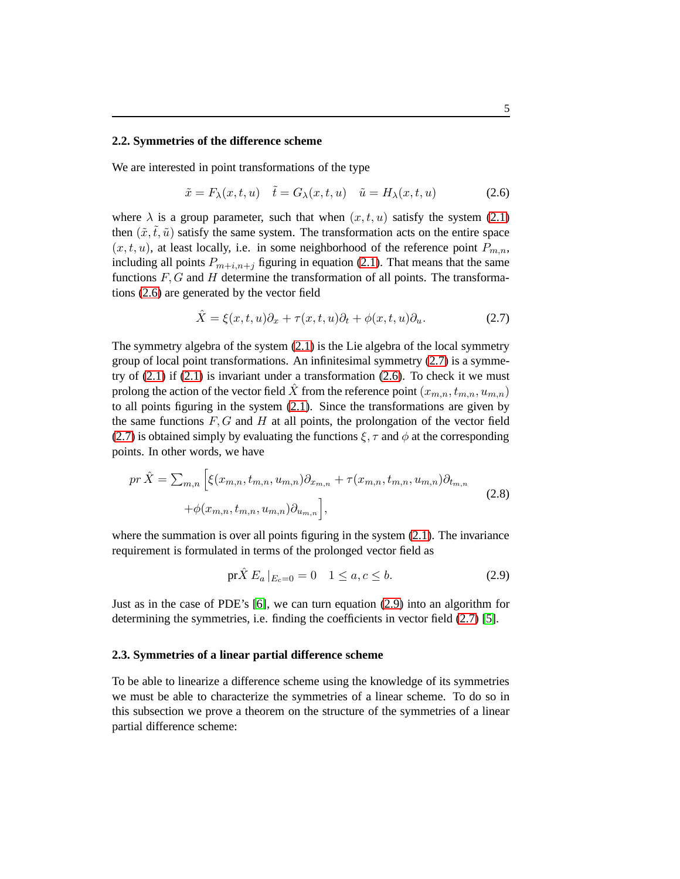#### **2.2. Symmetries of the difference scheme**

We are interested in point transformations of the type

<span id="page-4-0"></span>
$$
\tilde{x} = F_{\lambda}(x, t, u) \quad \tilde{t} = G_{\lambda}(x, t, u) \quad \tilde{u} = H_{\lambda}(x, t, u)
$$
\n(2.6)

where  $\lambda$  is a group parameter, such that when  $(x, t, u)$  satisfy the system [\(2.1\)](#page-2-0) then  $(\tilde{x}, \tilde{t}, \tilde{u})$  satisfy the same system. The transformation acts on the entire space  $(x, t, u)$ , at least locally, i.e. in some neighborhood of the reference point  $P_{m,n}$ , including all points  $P_{m+i,n+j}$  figuring in equation [\(2.1\)](#page-2-0). That means that the same functions  $F, G$  and  $H$  determine the transformation of all points. The transformations [\(2.6\)](#page-4-0) are generated by the vector field

<span id="page-4-1"></span>
$$
\hat{X} = \xi(x, t, u)\partial_x + \tau(x, t, u)\partial_t + \phi(x, t, u)\partial_u.
$$
\n(2.7)

The symmetry algebra of the system [\(2.1\)](#page-2-0) is the Lie algebra of the local symmetry group of local point transformations. An infinitesimal symmetry [\(2.7\)](#page-4-1) is a symmetry of  $(2.1)$  if  $(2.1)$  is invariant under a transformation  $(2.6)$ . To check it we must prolong the action of the vector field  $\hat{X}$  from the reference point  $(x_{m,n}, t_{m,n}, u_{m,n})$ to all points figuring in the system [\(2.1\)](#page-2-0). Since the transformations are given by the same functions  $F, G$  and  $H$  at all points, the prolongation of the vector field [\(2.7\)](#page-4-1) is obtained simply by evaluating the functions  $\xi$ ,  $\tau$  and  $\phi$  at the corresponding points. In other words, we have

<span id="page-4-2"></span>
$$
pr\hat{X} = \sum_{m,n} \left[ \xi(x_{m,n}, t_{m,n}, u_{m,n}) \partial_{x_{m,n}} + \tau(x_{m,n}, t_{m,n}, u_{m,n}) \partial_{t_{m,n}} + \phi(x_{m,n}, t_{m,n}, u_{m,n}) \partial_{u_{m,n}} \right],
$$
\n(2.8)

where the summation is over all points figuring in the system  $(2.1)$ . The invariance requirement is formulated in terms of the prolonged vector field as

$$
\text{pr}\hat{X} E_a |_{E_c=0} = 0 \quad 1 \le a, c \le b. \tag{2.9}
$$

Just as in the case of PDE's [\[6\]](#page-11-3), we can turn equation [\(2.9\)](#page-5-0) into an algorithm for determining the symmetries, i.e. finding the coefficients in vector field [\(2.7\)](#page-4-1) [\[5\]](#page-11-4).

### **2.3. Symmetries of a linear partial difference scheme**

<span id="page-4-3"></span>To be able to linearize a difference scheme using the knowledge of its symmetries we must be able to characterize the symmetries of a linear scheme. To do so in this subsection we prove a theorem on the structure of the symmetries of a linear partial difference scheme: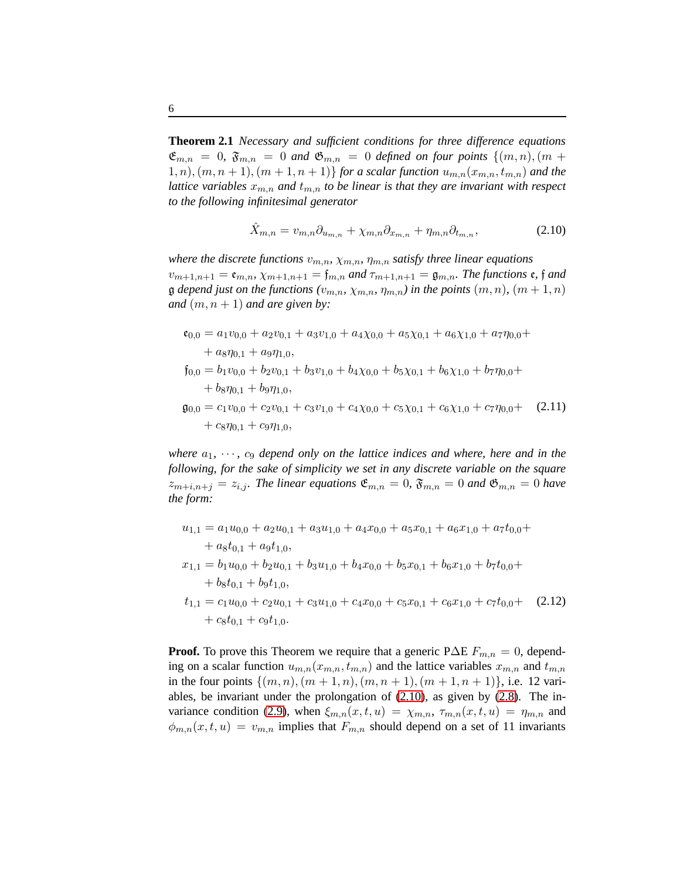**Theorem 2.1** *Necessary and sufficient conditions for three difference equations*  $\mathfrak{E}_{m,n} = 0$ ,  $\mathfrak{F}_{m,n} = 0$  and  $\mathfrak{G}_{m,n} = 0$  defined on four points  $\{(m,n),(m+n)\}$  $(1, n), (m, n + 1), (m + 1, n + 1)$  *for a scalar function*  $u_{m,n}(x_{m,n}, t_{m,n})$  *and the lattice variables*  $x_{m,n}$  *and*  $t_{m,n}$  *to be linear is that they are invariant with respect to the following infinitesimal generator*

<span id="page-5-3"></span><span id="page-5-1"></span><span id="page-5-0"></span>
$$
\hat{X}_{m,n} = v_{m,n}\partial_{u_{m,n}} + \chi_{m,n}\partial_{x_{m,n}} + \eta_{m,n}\partial_{t_{m,n}},\tag{2.10}
$$

*where the discrete functions*  $v_{m,n}$ ,  $\chi_{m,n}$ ,  $\eta_{m,n}$  *satisfy three linear equations*  $v_{m+1,n+1} = \mathfrak{e}_{m,n}, \chi_{m+1,n+1} = \mathfrak{f}_{m,n}$  *and*  $\tau_{m+1,n+1} = \mathfrak{g}_{m,n}$ *. The functions*  $\mathfrak{e}, \mathfrak{f}$  *and*  $\mathfrak g$  *depend just on the functions*  $(v_{m,n}, \chi_{m,n}, \eta_{m,n})$  *in the points*  $(m, n)$ *,*  $(m + 1, n)$ *and*  $(m, n + 1)$  *and are given by:* 

$$
\begin{aligned}\n\mathfrak{e}_{0,0} &= a_1 v_{0,0} + a_2 v_{0,1} + a_3 v_{1,0} + a_4 \chi_{0,0} + a_5 \chi_{0,1} + a_6 \chi_{1,0} + a_7 \eta_{0,0} + \\
&\quad + a_8 \eta_{0,1} + a_9 \eta_{1,0}, \\
\mathfrak{f}_{0,0} &= b_1 v_{0,0} + b_2 v_{0,1} + b_3 v_{1,0} + b_4 \chi_{0,0} + b_5 \chi_{0,1} + b_6 \chi_{1,0} + b_7 \eta_{0,0} + \\
&\quad + b_8 \eta_{0,1} + b_9 \eta_{1,0}, \\
\mathfrak{g}_{0,0} &= c_1 v_{0,0} + c_2 v_{0,1} + c_3 v_{1,0} + c_4 \chi_{0,0} + c_5 \chi_{0,1} + c_6 \chi_{1,0} + c_7 \eta_{0,0} + (2.11) \\
&\quad + c_8 \eta_{0,1} + c_9 \eta_{1,0},\n\end{aligned}
$$

*where*  $a_1, \dots, c_9$  *depend only on the lattice indices and where, here and in the following, for the sake of simplicity we set in any discrete variable on the square*  $z_{m+i,n+j} = z_{i,j}$ . The linear equations  $\mathfrak{E}_{m,n} = 0$ ,  $\mathfrak{F}_{m,n} = 0$  and  $\mathfrak{G}_{m,n} = 0$  have *the form:*

<span id="page-5-2"></span>
$$
u_{1,1} = a_1 u_{0,0} + a_2 u_{0,1} + a_3 u_{1,0} + a_4 x_{0,0} + a_5 x_{0,1} + a_6 x_{1,0} + a_7 t_{0,0} +
$$
  
+  $a_8 t_{0,1} + a_9 t_{1,0},$   
 $x_{1,1} = b_1 u_{0,0} + b_2 u_{0,1} + b_3 u_{1,0} + b_4 x_{0,0} + b_5 x_{0,1} + b_6 x_{1,0} + b_7 t_{0,0} +$   
+  $b_8 t_{0,1} + b_9 t_{1,0},$   
 $t_{1,1} = c_1 u_{0,0} + c_2 u_{0,1} + c_3 u_{1,0} + c_4 x_{0,0} + c_5 x_{0,1} + c_6 x_{1,0} + c_7 t_{0,0} +$  (2.12)  
+  $c_8 t_{0,1} + c_9 t_{1,0}.$ 

**Proof.** To prove this Theorem we require that a generic P∆E  $F_{m,n} = 0$ , depending on a scalar function  $u_{m,n}(x_{m,n}, t_{m,n})$  and the lattice variables  $x_{m,n}$  and  $t_{m,n}$ in the four points  $\{(m, n), (m + 1, n), (m, n + 1), (m + 1, n + 1)\}\$ , i.e. 12 variables, be invariant under the prolongation of [\(2.10\)](#page-5-1), as given by [\(2.8\)](#page-4-2). The in-variance condition [\(2.9\)](#page-5-0), when  $\xi_{m,n}(x,t,u) = \chi_{m,n}$ ,  $\tau_{m,n}(x,t,u) = \eta_{m,n}$  and  $\phi_{m,n}(x, t, u) = v_{m,n}$  implies that  $F_{m,n}$  should depend on a set of 11 invariants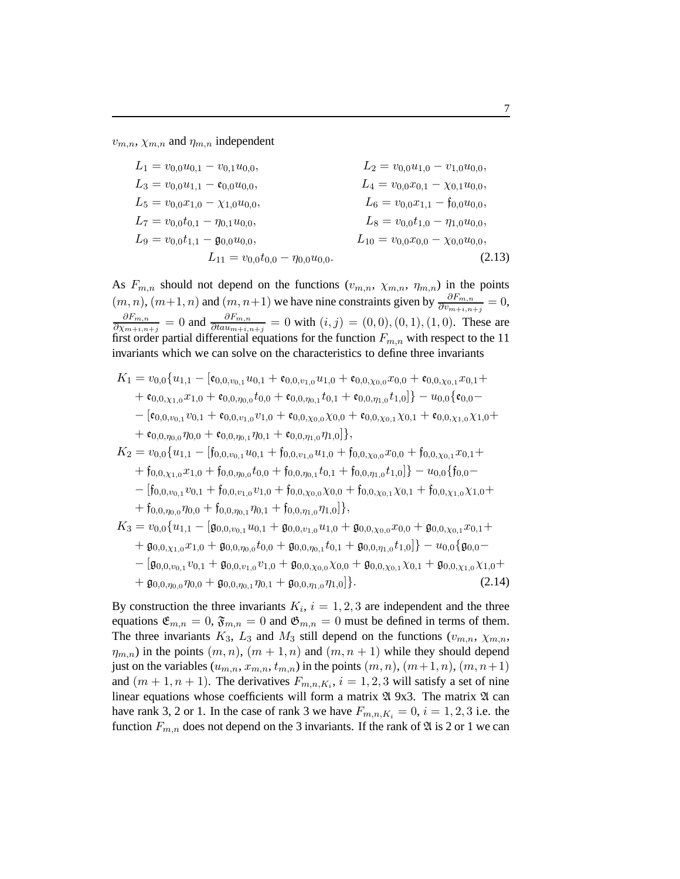$v_{m,n}$ ,  $\chi_{m,n}$  and  $\eta_{m,n}$  independent

$$
L_1 = v_{0,0}u_{0,1} - v_{0,1}u_{0,0},
$$
  
\n
$$
L_2 = v_{0,0}u_{1,0} - v_{1,0}u_{0,0},
$$
  
\n
$$
L_3 = v_{0,0}u_{1,1} - \mathfrak{e}_{0,0}u_{0,0},
$$
  
\n
$$
L_4 = v_{0,0}x_{0,1} - \chi_{0,1}u_{0,0},
$$
  
\n
$$
L_5 = v_{0,0}x_{1,0} - \chi_{1,0}u_{0,0},
$$
  
\n
$$
L_6 = v_{0,0}x_{1,1} - \mathfrak{f}_{0,0}u_{0,0},
$$
  
\n
$$
L_7 = v_{0,0}t_{0,1} - \eta_{0,1}u_{0,0},
$$
  
\n
$$
L_8 = v_{0,0}t_{1,0} - \eta_{1,0}u_{0,0},
$$
  
\n
$$
L_{9} = v_{0,0}t_{1,1} - \mathfrak{g}_{0,0}u_{0,0},
$$
  
\n
$$
L_{10} = v_{0,0}x_{0,0} - \chi_{0,0}u_{0,0},
$$
  
\n(2.13)

As  $F_{m,n}$  should not depend on the functions  $(v_{m,n}, \chi_{m,n}, \eta_{m,n})$  in the points  $(m, n)$ ,  $(m+1, n)$  and  $(m, n+1)$  we have nine constraints given by  $\frac{\partial F_{m,n}}{\partial v_{m+1,n+1}} = 0$ ,  $\partial F_{m,n}$  $\frac{\partial F_{m,n}}{\partial \chi_{m+i,n+j}} = 0$  and  $\frac{\partial F_{m,n}}{\partial ta u_{m+i,n+j}} = 0$  with  $(i, j) = (0, 0), (0, 1), (1, 0)$ . These are first order partial differential equations for the function  $F_{m,n}$  with respect to the 11 invariants which we can solve on the characteristics to define three invariants

$$
K_{1} = v_{0,0} \{ u_{1,1} - [\mathfrak{e}_{0,0,v_{0,1}} u_{0,1} + \mathfrak{e}_{0,0,v_{1,0}} u_{1,0} + \mathfrak{e}_{0,0,\chi_{0,0}} x_{0,0} + \mathfrak{e}_{0,0,\chi_{0,1}} x_{0,1} +
$$
  
\n
$$
+ \mathfrak{e}_{0,0,\chi_{1,0}} x_{1,0} + \mathfrak{e}_{0,0,\eta_{0,0}} t_{0,0} + \mathfrak{e}_{0,0,\eta_{0,1}} t_{0,1} + \mathfrak{e}_{0,0,\eta_{1,0}} t_{1,0}]\} - u_{0,0} \{ \mathfrak{e}_{0,0} -
$$
  
\n
$$
- [\mathfrak{e}_{0,0,v_{0,1}} v_{0,1} + \mathfrak{e}_{0,0,v_{1,0}} v_{1,0} + \mathfrak{e}_{0,0,\chi_{0,0}} \chi_{0,0} + \mathfrak{e}_{0,0,\chi_{0,1}} \chi_{0,1} + \mathfrak{e}_{0,0,\chi_{1,0}} \chi_{1,0} +
$$
  
\n
$$
+ \mathfrak{e}_{0,0,\eta_{0,0}} \eta_{0,0} + \mathfrak{e}_{0,0,\eta_{0,1}} \eta_{0,1} + \mathfrak{e}_{0,0,\eta_{1,0}} \eta_{1,0}]\},
$$
  
\n
$$
K_{2} = v_{0,0} \{ u_{1,1} - [f_{0,0,v_{0,1}} u_{0,1} + f_{0,0,v_{1,0}} u_{1,0} + f_{0,0,\chi_{0,0}} x_{0,0} + f_{0,0,\chi_{0,1}} x_{0,1} +
$$
  
\n
$$
+ f_{0,0,\chi_{1,0}} x_{1,0} + f_{0,0,\eta_{0,0}} t_{0,0} + f_{0,0,\chi_{0,0}} x_{0,0} + f_{0,0,\chi_{0,1}} x_{0,1} + f_{0,0,\chi_{1,0}} x_{1,0} +
$$
  
\n
$$
+ f_{0,0,\eta_{0,0}} \eta_{0,0} + f_{0,0,\eta_{0,1}} \eta_{0,1} + f_{0,0,\eta_{0,0}} \eta_{0,0} + f_{0
$$

By construction the three invariants  $K_i$ ,  $i = 1, 2, 3$  are independent and the three equations  $\mathfrak{E}_{m,n} = 0$ ,  $\mathfrak{F}_{m,n} = 0$  and  $\mathfrak{G}_{m,n} = 0$  must be defined in terms of them. The three invariants  $K_3$ ,  $L_3$  and  $M_3$  still depend on the functions  $(v_{m,n}, \chi_{m,n},$  $\eta_{m,n}$ ) in the points  $(m, n), (m + 1, n)$  and  $(m, n + 1)$  while they should depend just on the variables  $(u_{m,n}, x_{m,n}, t_{m,n})$  in the points  $(m, n), (m + 1, n), (m, n + 1)$ and  $(m+1, n+1)$ . The derivatives  $F_{m,n,K_i}$ ,  $i = 1, 2, 3$  will satisfy a set of nine linear equations whose coefficients will form a matrix  $\mathfrak A$  9x3. The matrix  $\mathfrak A$  can have rank 3, 2 or 1. In the case of rank 3 we have  $F_{m,n,K_i} = 0$ ,  $i = 1, 2, 3$  i.e. the function  $F_{m,n}$  does not depend on the 3 invariants. If the rank of  $\mathfrak A$  is 2 or 1 we can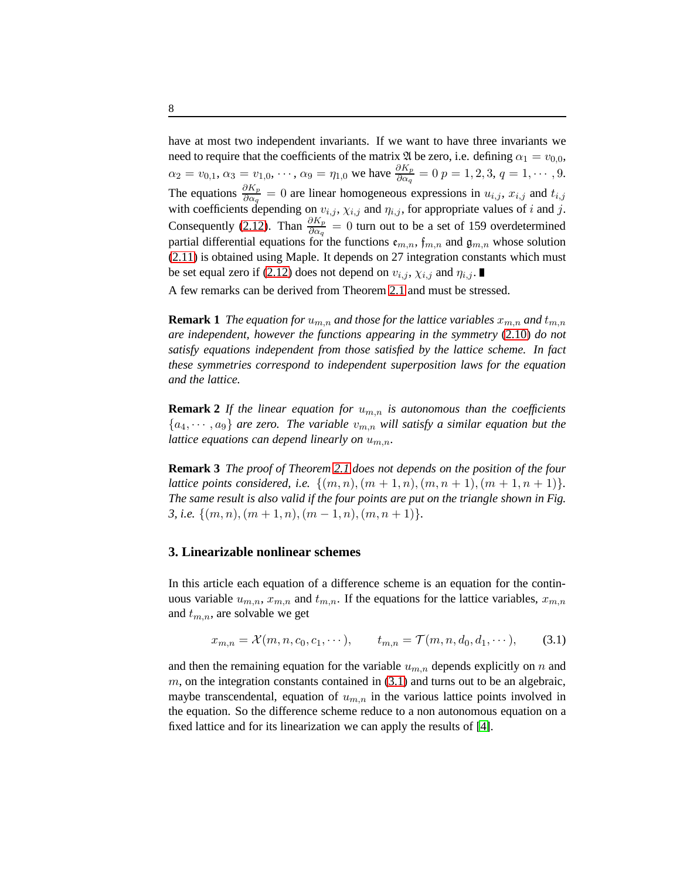have at most two independent invariants. If we want to have three invariants we need to require that the coefficients of the matrix  $\mathfrak A$  be zero, i.e. defining  $\alpha_1 = v_{0,0}$ ,  $\alpha_2 = v_{0,1}, \alpha_3 = v_{1,0}, \dots, \alpha_9 = \eta_{1,0}$  we have  $\frac{\partial K_p}{\partial \alpha_q} = 0$   $p = 1, 2, 3, q = 1, \dots, 9$ . The equations  $\frac{\partial K_p}{\partial \alpha_q} = 0$  are linear homogeneous expressions in  $u_{i,j}$ ,  $x_{i,j}$  and  $t_{i,j}$ with coefficients depending on  $v_{i,j}$ ,  $\chi_{i,j}$  and  $\eta_{i,j}$ , for appropriate values of i and j. Consequently [\(2.12\)](#page-5-2). Than  $\frac{\partial K_p}{\partial \alpha_q} = 0$  turn out to be a set of 159 overdetermined partial differential equations for the functions  $e_{m,n}$ ,  $f_{m,n}$  and  $g_{m,n}$  whose solution [\(2.11\)](#page-5-3) is obtained using Maple. It depends on 27 integration constants which must be set equal zero if [\(2.12\)](#page-5-2) does not depend on  $v_{i,j}$ ,  $\chi_{i,j}$  and  $\eta_{i,j}$ .

A few remarks can be derived from Theorem [2.1](#page-4-3) and must be stressed.

**Remark 1** *The equation for*  $u_{m,n}$  *and those for the lattice variables*  $x_{m,n}$  *and*  $t_{m,n}$ *are independent, however the functions appearing in the symmetry* [\(2.10\)](#page-5-1) *do not satisfy equations independent from those satisfied by the lattice scheme. In fact these symmetries correspond to independent superposition laws for the equation and the lattice.*

**Remark 2** *If the linear equation for*  $u_{m,n}$  *is autonomous than the coefficients*  ${a_4, \dots, a_9}$  *are zero. The variable*  $v_{m,n}$  *will satisfy a similar equation but the lattice equations can depend linearly on*  $u_{m,n}$ *.* 

**Remark 3** *The proof of Theorem [2.1](#page-4-3) does not depends on the position of the four lattice points considered, i.e.*  $\{(m, n), (m + 1, n), (m, n + 1), (m + 1, n + 1)\}.$ *The same result is also valid if the four points are put on the triangle shown in Fig. 3, i.e.*  $\{(m, n), (m + 1, n), (m - 1, n), (m, n + 1)\}.$ 

#### **3. Linearizable nonlinear schemes**

In this article each equation of a difference scheme is an equation for the continuous variable  $u_{m,n}$ ,  $x_{m,n}$  and  $t_{m,n}$ . If the equations for the lattice variables,  $x_{m,n}$ and  $t_{m,n}$ , are solvable we get

$$
x_{m,n} = \mathcal{X}(m, n, c_0, c_1, \cdots), \qquad t_{m,n} = \mathcal{T}(m, n, d_0, d_1, \cdots), \tag{3.1}
$$

and then the remaining equation for the variable  $u_{m,n}$  depends explicitly on n and  $m$ , on the integration constants contained in  $(3.1)$  and turns out to be an algebraic, maybe transcendental, equation of  $u_{m,n}$  in the various lattice points involved in the equation. So the difference scheme reduce to a non autonomous equation on a fixed lattice and for its linearization we can apply the results of [\[4\]](#page-11-1).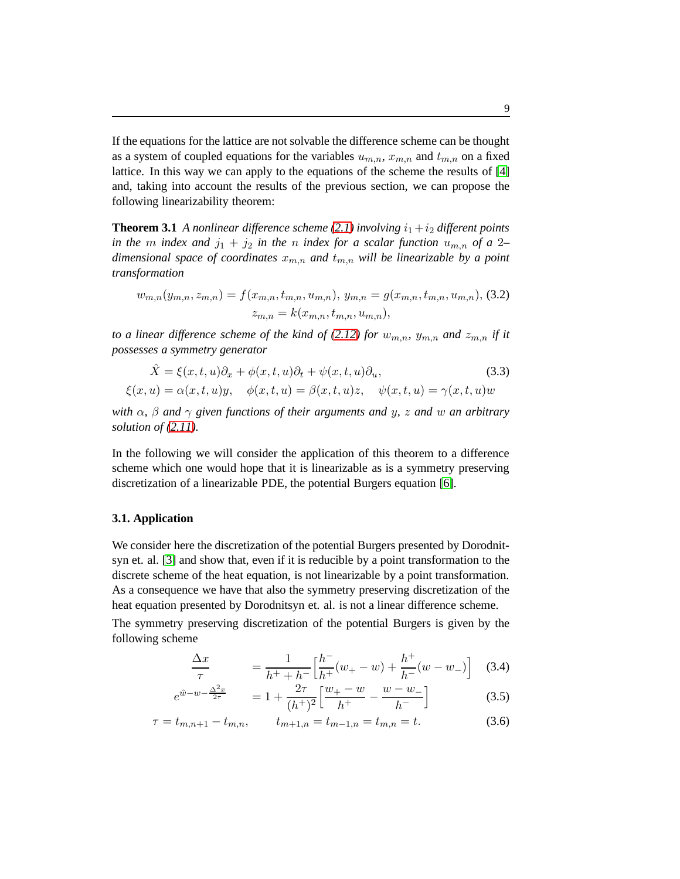If the equations for the lattice are not solvable the difference scheme can be thought as a system of coupled equations for the variables  $u_{m,n}$ ,  $x_{m,n}$  and  $t_{m,n}$  on a fixed lattice. In this way we can apply to the equations of the scheme the results of [\[4\]](#page-11-1) and, taking into account the results of the previous section, we can propose the following linearizability theorem:

**Theorem 3.1** *A nonlinear difference scheme [\(2.1\)](#page-2-0) involving*  $i_1 + i_2$  *different points in the m index and*  $j_1 + j_2$  *in the n index for a scalar function*  $u_{m,n}$  *of a* 2– *dimensional space of coordinates*  $x_{m,n}$  *and*  $t_{m,n}$  *will be linearizable by a point transformation*

<span id="page-8-0"></span>
$$
w_{m,n}(y_{m,n}, z_{m,n}) = f(x_{m,n}, t_{m,n}, u_{m,n}), y_{m,n} = g(x_{m,n}, t_{m,n}, u_{m,n}),
$$
 (3.2)  

$$
z_{m,n} = k(x_{m,n}, t_{m,n}, u_{m,n}),
$$

*to a linear difference scheme of the kind of [\(2.12\)](#page-5-2) for*  $w_{m,n}$ ,  $y_{m,n}$  *and*  $z_{m,n}$  *if it possesses a symmetry generator*

$$
\hat{X} = \xi(x, t, u)\partial_x + \phi(x, t, u)\partial_t + \psi(x, t, u)\partial_u,
$$
\n(3.3)  
\n
$$
\xi(x, u) = \alpha(x, t, u)y, \quad \phi(x, t, u) = \beta(x, t, u)z, \quad \psi(x, t, u) = \gamma(x, t, u)w
$$

with 
$$
\alpha
$$
,  $\beta$  and  $\gamma$  given functions of their arguments and  $y$ ,  $z$  and  $w$  an arbitrary solution of (2.11).

In the following we will consider the application of this theorem to a difference scheme which one would hope that it is linearizable as is a symmetry preserving discretization of a linearizable PDE, the potential Burgers equation [\[6\]](#page-11-3).

### **3.1. Application**

We consider here the discretization of the potential Burgers presented by Dorodnitsyn et. al. [\[3\]](#page-11-0) and show that, even if it is reducible by a point transformation to the discrete scheme of the heat equation, is not linearizable by a point transformation. As a consequence we have that also the symmetry preserving discretization of the heat equation presented by Dorodnitsyn et. al. is not a linear difference scheme.

The symmetry preserving discretization of the potential Burgers is given by the following scheme

<span id="page-8-2"></span><span id="page-8-1"></span>
$$
\frac{\Delta x}{\tau} = \frac{1}{h^+ + h^-} \Big[ \frac{h^-}{h^+} (w_+ - w) + \frac{h^+}{h^-} (w - w_-) \Big] \quad (3.4)
$$

$$
e^{\hat{w}-w-\frac{\Delta^2 x}{2\tau}} = 1 + \frac{2\tau}{(h^+)^2} \left[ \frac{w_+ - w}{h^+} - \frac{w-w_-}{h^-} \right] \tag{3.5}
$$

$$
\tau = t_{m,n+1} - t_{m,n}, \qquad t_{m+1,n} = t_{m-1,n} = t_{m,n} = t.
$$
\n(3.6)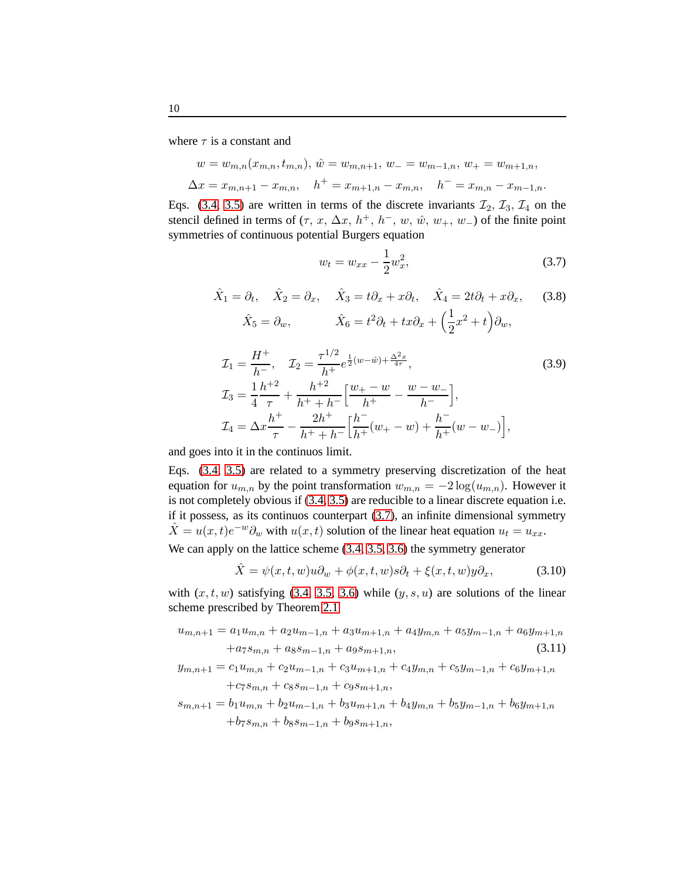where  $\tau$  is a constant and

$$
w = w_{m,n}(x_{m,n}, t_{m,n}), \hat{w} = w_{m,n+1}, w_- = w_{m-1,n}, w_+ = w_{m+1,n},
$$
  

$$
\Delta x = x_{m,n+1} - x_{m,n}, \quad h^+ = x_{m+1,n} - x_{m,n}, \quad h^- = x_{m,n} - x_{m-1,n}.
$$

Eqs. [\(3.4,](#page-8-1) [3.5\)](#page-8-2) are written in terms of the discrete invariants  $\mathcal{I}_2$ ,  $\mathcal{I}_3$ ,  $\mathcal{I}_4$  on the stencil defined in terms of  $(\tau, x, \Delta x, h^+, h^-, w, \hat{w}, w_+, w_-)$  of the finite point symmetries of continuous potential Burgers equation

<span id="page-9-1"></span>
$$
w_t = w_{xx} - \frac{1}{2}w_x^2, \tag{3.7}
$$

<span id="page-9-0"></span>
$$
\hat{X}_1 = \partial_t, \quad \hat{X}_2 = \partial_x, \quad \hat{X}_3 = t\partial_x + x\partial_t, \quad \hat{X}_4 = 2t\partial_t + x\partial_x, \quad (3.8)
$$

$$
\hat{X}_5 = \partial_w, \quad \hat{X}_6 = t^2\partial_t + tx\partial_x + \left(\frac{1}{2}x^2 + t\right)\partial_w,
$$

$$
\mathcal{I}_1 = \frac{H^+}{h^-}, \quad \mathcal{I}_2 = \frac{\tau^{1/2}}{h^+} e^{\frac{1}{2}(w-\hat{w}) + \frac{\Delta^2 x}{4\tau}},
$$
\n
$$
\mathcal{I}_3 = \frac{1}{4} \frac{h^{+2}}{\tau} + \frac{h^{+2}}{h^+ + h^-} \Big[ \frac{w_+ - w}{h^+} - \frac{w - w_-}{h^-} \Big],
$$
\n
$$
\mathcal{I}_4 = \Delta x \frac{h^+}{\tau} - \frac{2h^+}{h^+ + h^-} \Big[ \frac{h^-}{h^+} (w_+ - w) + \frac{h^-}{h^+} (w - w_-) \Big],
$$
\n(3.9)

and goes into it in the continuos limit.

Eqs. [\(3.4,](#page-8-1) [3.5\)](#page-8-2) are related to a symmetry preserving discretization of the heat equation for  $u_{m,n}$  by the point transformation  $w_{m,n} = -2 \log(u_{m,n})$ . However it is not completely obvious if [\(3.4,](#page-8-1) [3.5\)](#page-8-2) are reducible to a linear discrete equation i.e. if it possess, as its continuos counterpart [\(3.7\)](#page-9-0), an infinite dimensional symmetry  $\hat{X} = u(x, t)e^{-w}\partial_w$  with  $u(x, t)$  solution of the linear heat equation  $u_t = u_{xx}$ .

We can apply on the lattice scheme [\(3.4,](#page-8-1) [3.5,](#page-8-2) [3.6\)](#page-9-1) the symmetry generator

$$
\hat{X} = \psi(x, t, w)u\partial_w + \phi(x, t, w)s\partial_t + \xi(x, t, w)y\partial_x, \tag{3.10}
$$

with  $(x, t, w)$  satisfying [\(3.4,](#page-8-1) [3.5,](#page-8-2) [3.6\)](#page-9-1) while  $(y, s, u)$  are solutions of the linear scheme prescribed by Theorem [2.1](#page-4-3)

$$
u_{m,n+1} = a_1 u_{m,n} + a_2 u_{m-1,n} + a_3 u_{m+1,n} + a_4 y_{m,n} + a_5 y_{m-1,n} + a_6 y_{m+1,n}
$$
  
+
$$
a_7 s_{m,n} + a_8 s_{m-1,n} + a_9 s_{m+1,n},
$$
 (3.11)

$$
y_{m,n+1} = c_1 u_{m,n} + c_2 u_{m-1,n} + c_3 u_{m+1,n} + c_4 y_{m,n} + c_5 y_{m-1,n} + c_6 y_{m+1,n}
$$
  
+
$$
c_7 s_{m,n} + c_8 s_{m-1,n} + c_9 s_{m+1,n},
$$

$$
s_{m,n+1} = b_1 u_{m,n} + b_2 u_{m-1,n} + b_3 u_{m+1,n} + b_4 y_{m,n} + b_5 y_{m-1,n} + b_6 y_{m+1,n}
$$
  
+
$$
b_7 s_{m,n} + b_8 s_{m-1,n} + b_9 s_{m+1,n},
$$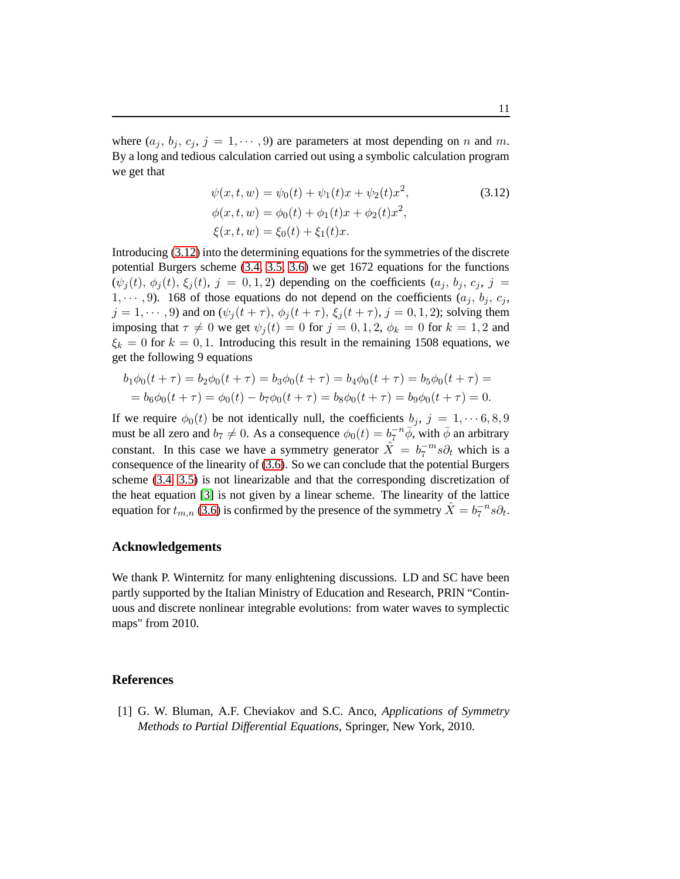where  $(a_j, b_j, c_j, j = 1, \dots, 9)$  are parameters at most depending on n and m. By a long and tedious calculation carried out using a symbolic calculation program we get that

$$
\psi(x, t, w) = \psi_0(t) + \psi_1(t)x + \psi_2(t)x^2,
$$
  
\n
$$
\phi(x, t, w) = \phi_0(t) + \phi_1(t)x + \phi_2(t)x^2,
$$
  
\n
$$
\xi(x, t, w) = \xi_0(t) + \xi_1(t)x.
$$
\n(3.12)

Introducing [\(3.12\)](#page-10-2) into the determining equations for the symmetries of the discrete potential Burgers scheme [\(3.4,](#page-8-1) [3.5,](#page-8-2) [3.6\)](#page-9-1) we get 1672 equations for the functions  $(\psi_i(t), \phi_i(t), \xi_i(t), j = 0, 1, 2)$  depending on the coefficients  $(a_i, b_i, c_i, j =$  $1, \dots, 9$ ). 168 of those equations do not depend on the coefficients  $(a_i, b_i, c_i,$  $j = 1, \dots, 9$  and on  $(\psi_j(t + \tau), \phi_j(t + \tau), \xi_j(t + \tau), j = 0, 1, 2)$ ; solving them imposing that  $\tau \neq 0$  we get  $\psi_j (t) = 0$  for  $j = 0, 1, 2, \phi_k = 0$  for  $k = 1, 2$  and  $\xi_k = 0$  for  $k = 0, 1$ . Introducing this result in the remaining 1508 equations, we get the following 9 equations

<span id="page-10-2"></span>
$$
b_1\phi_0(t+\tau) = b_2\phi_0(t+\tau) = b_3\phi_0(t+\tau) = b_4\phi_0(t+\tau) = b_5\phi_0(t+\tau) =
$$
  
=  $b_6\phi_0(t+\tau) = \phi_0(t) - b_7\phi_0(t+\tau) = b_8\phi_0(t+\tau) = b_9\phi_0(t+\tau) = 0.$ 

If we require  $\phi_0(t)$  be not identically null, the coefficients  $b_j, j = 1, \dots 6, 8, 9$ must be all zero and  $b_7 \neq 0$ . As a consequence  $\phi_0(t) = b_7^{-n} \overline{\phi}$ , with  $\overline{\phi}$  an arbitrary constant. In this case we have a symmetry generator  $\hat{X} = b_7^{-m} s \partial_t$  which is a consequence of the linearity of [\(3.6\)](#page-9-1). So we can conclude that the potential Burgers scheme [\(3.4,](#page-8-1) [3.5\)](#page-8-2) is not linearizable and that the corresponding discretization of the heat equation [\[3\]](#page-11-0) is not given by a linear scheme. The linearity of the lattice equation for  $t_{m,n}$  [\(3.6\)](#page-9-1) is confirmed by the presence of the symmetry  $\hat{X} = b_7^{-n} s \partial_t$ .

## **Acknowledgements**

We thank P. Winternitz for many enlightening discussions. LD and SC have been partly supported by the Italian Ministry of Education and Research, PRIN "Continuous and discrete nonlinear integrable evolutions: from water waves to symplectic maps" from 2010.

## <span id="page-10-1"></span><span id="page-10-0"></span>**References**

[1] G. W. Bluman, A.F. Cheviakov and S.C. Anco, *Applications of Symmetry Methods to Partial Differential Equations*, Springer, New York, 2010.